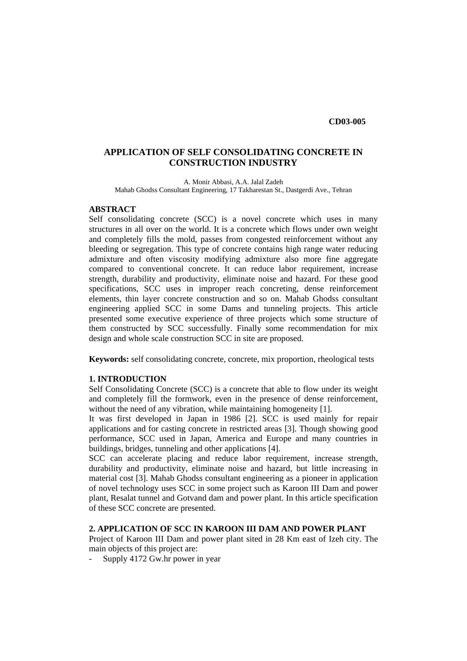**CD03-005** 

# **APPLICATION OF SELF CONSOLIDATING CONCRETE IN CONSTRUCTION INDUSTRY**

A. Monir Abbasi, A.A. Jalal Zadeh Mahab Ghodss Consultant Engineering, 17 Takharestan St., Dastgerdi Ave., Tehran

#### **ABSTRACT**

Self consolidating concrete (SCC) is a novel concrete which uses in many structures in all over on the world. It is a concrete which flows under own weight and completely fills the mold, passes from congested reinforcement without any bleeding or segregation. This type of concrete contains high range water reducing admixture and often viscosity modifying admixture also more fine aggregate compared to conventional concrete. It can reduce labor requirement, increase strength, durability and productivity, eliminate noise and hazard. For these good specifications, SCC uses in improper reach concreting, dense reinforcement elements, thin layer concrete construction and so on. Mahab Ghodss consultant engineering applied SCC in some Dams and tunneling projects. This article presented some executive experience of three projects which some structure of them constructed by SCC successfully. Finally some recommendation for mix design and whole scale construction SCC in site are proposed.

**Keywords:** self consolidating concrete, concrete, mix proportion, rheological tests

### **1. INTRODUCTION**

Self Consolidating Concrete (SCC) is a concrete that able to flow under its weight and completely fill the formwork, even in the presence of dense reinforcement, without the need of any vibration, while maintaining homogeneity [1].

It was first developed in Japan in 1986 [2]. SCC is used mainly for repair applications and for casting concrete in restricted areas [3]. Though showing good performance, SCC used in Japan, America and Europe and many countries in buildings, bridges, tunneling and other applications [4].

SCC can accelerate placing and reduce labor requirement, increase strength, durability and productivity, eliminate noise and hazard, but little increasing in material cost [3]. Mahab Ghodss consultant engineering as a pioneer in application of novel technology uses SCC in some project such as Karoon III Dam and power plant, Resalat tunnel and Gotvand dam and power plant. In this article specification of these SCC concrete are presented.

# **2. APPLICATION OF SCC IN KAROON III DAM AND POWER PLANT**

Project of Karoon III Dam and power plant sited in 28 Km east of Izeh city. The main objects of this project are:

- Supply 4172 Gw.hr power in year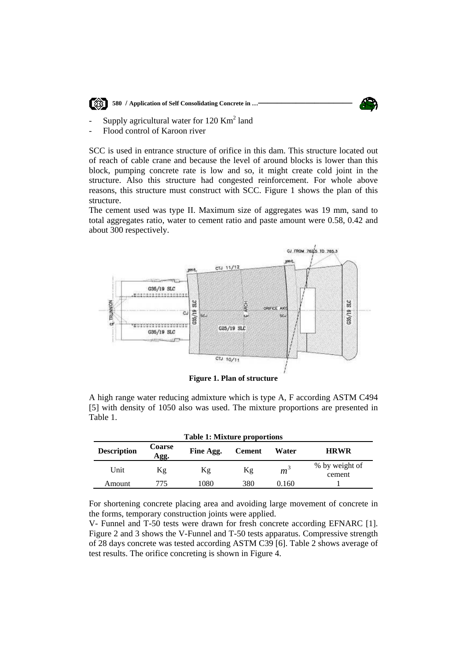

 **<b>1880** / Application of Self Consolidating Concrete in ...



- Supply agricultural water for  $120 \text{ Km}^2$  land
- Flood control of Karoon river

SCC is used in entrance structure of orifice in this dam. This structure located out of reach of cable crane and because the level of around blocks is lower than this block, pumping concrete rate is low and so, it might create cold joint in the structure. Also this structure had congested reinforcement. For whole above reasons, this structure must construct with SCC. Figure 1 shows the plan of this structure.

The cement used was type II. Maximum size of aggregates was 19 mm, sand to total aggregates ratio, water to cement ratio and paste amount were 0.58, 0.42 and about 300 respectively.



**Figure 1. Plan of structure** 

A high range water reducing admixture which is type A, F according ASTM C494 [5] with density of 1050 also was used. The mixture proportions are presented in Table 1.

| <b>Table 1: Mixture proportions</b> |                       |           |               |                |                          |  |  |
|-------------------------------------|-----------------------|-----------|---------------|----------------|--------------------------|--|--|
| <b>Description</b>                  | <b>Coarse</b><br>Agg. | Fine Agg. | <b>Cement</b> |                | <b>HRWR</b>              |  |  |
| Unit                                | Kg                    | Κg        | Кg            | m <sup>3</sup> | % by weight of<br>cement |  |  |
| Amount                              | 775                   | 1080      | 380           | 0.160          |                          |  |  |

For shortening concrete placing area and avoiding large movement of concrete in the forms, temporary construction joints were applied.

V- Funnel and T-50 tests were drawn for fresh concrete according EFNARC [1]. Figure 2 and 3 shows the V-Funnel and T-50 tests apparatus. Compressive strength of 28 days concrete was tested according ASTM C39 [6]. Table 2 shows average of test results. The orifice concreting is shown in Figure 4.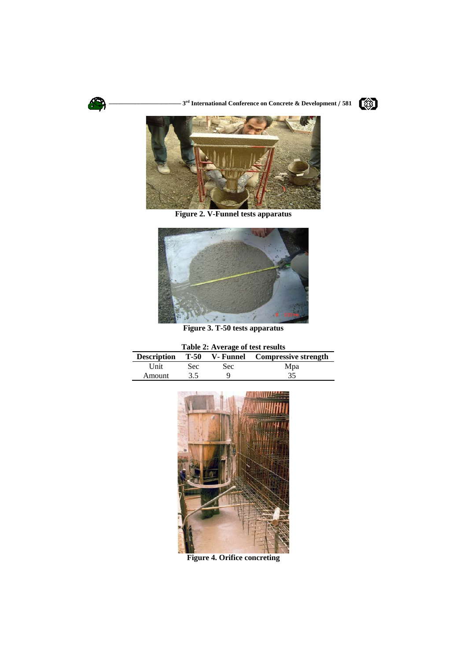

 **––––––––––––––––––––––– 3rd International Conference on Concrete & Development / 581** 





**Figure 2. V-Funnel tests apparatus** 



**Figure 3. T-50 tests apparatus** 

| Table 2: Average of test results |  |  |
|----------------------------------|--|--|
|----------------------------------|--|--|

| <b>Description</b> |      |            | <b>T-50</b> V- Funnel Compressive strength |
|--------------------|------|------------|--------------------------------------------|
| Unit               | Sec: | <b>Sec</b> | Mpa                                        |
| Amount             | 3.5  |            | 35                                         |



**Figure 4. Orifice concreting**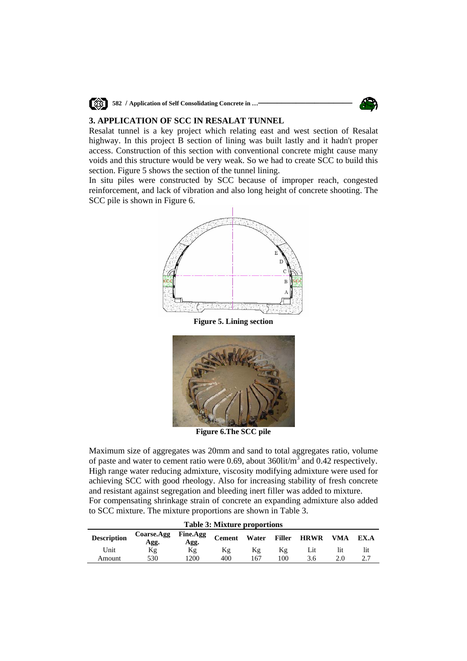

**1988 582** / Application of Self Consolidating Concrete in ...



### **3. APPLICATION OF SCC IN RESALAT TUNNEL**

Resalat tunnel is a key project which relating east and west section of Resalat highway. In this project B section of lining was built lastly and it hadn't proper access. Construction of this section with conventional concrete might cause many voids and this structure would be very weak. So we had to create SCC to build this section. Figure 5 shows the section of the tunnel lining.

In situ piles were constructed by SCC because of improper reach, congested reinforcement, and lack of vibration and also long height of concrete shooting. The SCC pile is shown in Figure 6.



**Figure 5. Lining section** 



**Figure 6.The SCC pile** 

Maximum size of aggregates was 20mm and sand to total aggregates ratio, volume of paste and water to cement ratio were 0.69, about  $360$ lit/ $m^3$  and 0.42 respectively. High range water reducing admixture, viscosity modifying admixture were used for achieving SCC with good rheology. Also for increasing stability of fresh concrete and resistant against segregation and bleeding inert filler was added to mixture. For compensating shrinkage strain of concrete an expanding admixture also added to SCC mixture. The mixture proportions are shown in Table 3.

| <b>Table 3: Mixture proportions</b> |                    |                         |               |       |               |             |     |            |
|-------------------------------------|--------------------|-------------------------|---------------|-------|---------------|-------------|-----|------------|
| <b>Description</b>                  | Coarse.Agg<br>Agg. | <b>Fine.Agg</b><br>Agg. | <b>Cement</b> | Water | <b>Filler</b> | <b>HRWR</b> | VMA | EX.A       |
| Unit                                | Κg                 | Кg                      | Кg            | Κg    | Κg            | Lıt         | l1t | lit        |
| Amount                              | 530                | 1200                    | 400           | 167   | 100           | 3.6         | 2.0 | າ 7<br>ر ـ |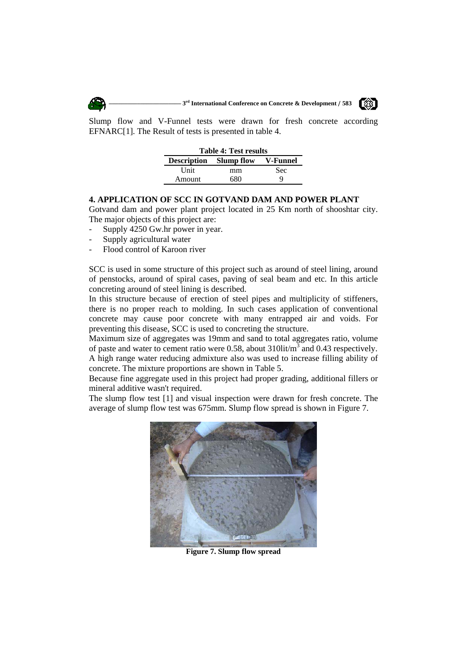



Slump flow and V-Funnel tests were drawn for fresh concrete according EFNARC[1]. The Result of tests is presented in table 4.

| <b>Table 4: Test results</b>           |     |     |  |  |  |  |  |
|----------------------------------------|-----|-----|--|--|--|--|--|
| <b>Description</b> Slump flow V-Funnel |     |     |  |  |  |  |  |
| Unit                                   | mm  | Sec |  |  |  |  |  |
| Amount                                 | 680 |     |  |  |  |  |  |
|                                        |     |     |  |  |  |  |  |

#### **4. APPLICATION OF SCC IN GOTVAND DAM AND POWER PLANT**

Gotvand dam and power plant project located in 25 Km north of shooshtar city. The major objects of this project are:

- Supply 4250 Gw.hr power in year.
- Supply agricultural water
- Flood control of Karoon river

SCC is used in some structure of this project such as around of steel lining, around of penstocks, around of spiral cases, paving of seal beam and etc. In this article concreting around of steel lining is described.

In this structure because of erection of steel pipes and multiplicity of stiffeners, there is no proper reach to molding. In such cases application of conventional concrete may cause poor concrete with many entrapped air and voids. For preventing this disease, SCC is used to concreting the structure.

Maximum size of aggregates was 19mm and sand to total aggregates ratio, volume of paste and water to cement ratio were 0.58, about  $310$ lit/ $m^3$  and 0.43 respectively. A high range water reducing admixture also was used to increase filling ability of concrete. The mixture proportions are shown in Table 5.

Because fine aggregate used in this project had proper grading, additional fillers or mineral additive wasn't required.

The slump flow test [1] and visual inspection were drawn for fresh concrete. The average of slump flow test was 675mm. Slump flow spread is shown in Figure 7.



**Figure 7. Slump flow spread**